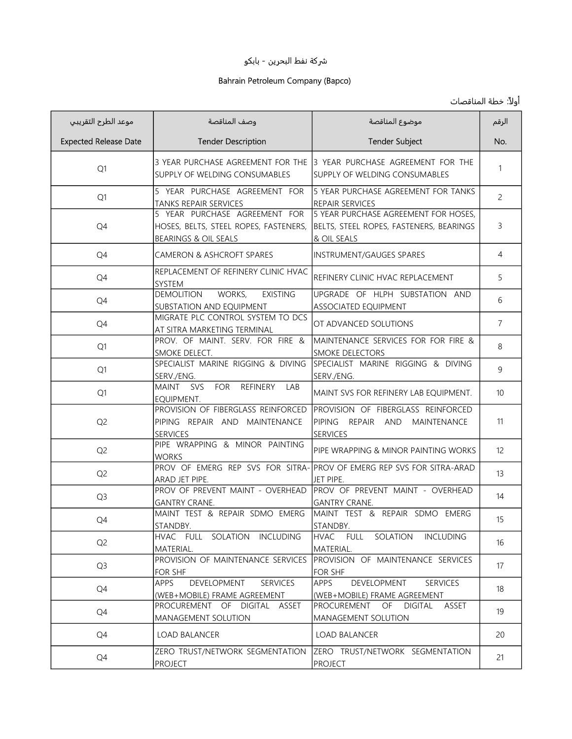## ුكة نفط البحرين - بابكو

## Bahrain Petroleum Company (Bapco)

## أولاً: خطة المناقصات

| موعد الطرح التقريبي          | وصف المناقصة                                                                                   | موضوع المناقصة                                                                                         | الرقم          |
|------------------------------|------------------------------------------------------------------------------------------------|--------------------------------------------------------------------------------------------------------|----------------|
| <b>Expected Release Date</b> | <b>Tender Description</b>                                                                      | <b>Tender Subject</b>                                                                                  | No.            |
| Q1                           | SUPPLY OF WELDING CONSUMABLES                                                                  | 3 YEAR PURCHASE AGREEMENT FOR THE 13 YEAR PURCHASE AGREEMENT FOR THE<br>ISUPPLY OF WELDING CONSUMABLES | 1              |
| Q1                           | 5 YEAR PURCHASE AGREEMENT FOR<br><b>TANKS REPAIR SERVICES</b>                                  | 5 YEAR PURCHASE AGREEMENT FOR TANKS<br>REPAIR SERVICES                                                 | $\overline{c}$ |
| Q4                           | 5 YEAR PURCHASE AGREEMENT FOR<br>HOSES, BELTS, STEEL ROPES, FASTENERS,<br>BEARINGS & OIL SEALS | 5 YEAR PURCHASE AGREEMENT FOR HOSES,<br>BELTS, STEEL ROPES, FASTENERS, BEARINGS<br>& OIL SEALS         | 3              |
| Q4                           | <b>CAMERON &amp; ASHCROFT SPARES</b>                                                           | <b>INSTRUMENT/GAUGES SPARES</b>                                                                        | $\overline{4}$ |
| Q4                           | REPLACEMENT OF REFINERY CLINIC HVAC<br><b>SYSTEM</b>                                           | REFINERY CLINIC HVAC REPLACEMENT                                                                       | 5              |
| Q4                           | <b>DEMOLITION</b><br>WORKS,<br><b>EXISTING</b><br>SUBSTATION AND EQUIPMENT                     | UPGRADE OF HLPH SUBSTATION AND<br><b>ASSOCIATED EQUIPMENT</b>                                          | 6              |
| Q4                           | MIGRATE PLC CONTROL SYSTEM TO DCS<br>AT SITRA MARKETING TERMINAL                               | OT ADVANCED SOLUTIONS                                                                                  | $\overline{7}$ |
| Q1                           | PROV. OF MAINT. SERV. FOR FIRE &<br>SMOKE DELECT.                                              | MAINTENANCE SERVICES FOR FOR FIRE &<br><b>SMOKE DELECTORS</b>                                          | 8              |
| Q1                           | SPECIALIST MARINE RIGGING & DIVING<br>SERV./ENG.                                               | SPECIALIST MARINE RIGGING & DIVING<br>SERV./ENG.                                                       | 9              |
| Q1                           | MAINT SVS<br><b>FOR</b><br><b>REFINERY</b><br>LAB<br>EQUIPMENT.                                | MAINT SVS FOR REFINERY LAB EQUIPMENT.                                                                  | 10             |
| Q <sub>2</sub>               | PROVISION OF FIBERGLASS REINFORCED<br>PIPING REPAIR AND MAINTENANCE<br><b>SERVICES</b>         | PROVISION OF FIBERGLASS REINFORCED<br>PIPING REPAIR AND MAINTENANCE<br><b>SERVICES</b>                 | 11             |
| Q <sub>2</sub>               | PIPE WRAPPING & MINOR PAINTING<br><b>WORKS</b>                                                 | PIPE WRAPPING & MINOR PAINTING WORKS                                                                   | 12             |
| Q <sub>2</sub>               | ARAD JET PIPE.                                                                                 | PROV OF EMERG REP SVS FOR SITRA- PROV OF EMERG REP SVS FOR SITRA-ARAD<br>JET PIPE.                     | 13             |
| Q <sub>3</sub>               | PROV OF PREVENT MAINT - OVERHEAD<br><b>GANTRY CRANE.</b>                                       | PROV OF PREVENT MAINT - OVERHEAD<br><b>GANTRY CRANE.</b>                                               | 14             |
| Q4                           | MAINT TEST & REPAIR SDMO EMERG<br>STANDBY.                                                     | MAINT TEST & REPAIR SDMO EMERG<br>STANDBY.                                                             | 15             |
| Q <sub>2</sub>               | HVAC FULL SOLATION INCLUDING<br>MATERIAL.                                                      | HVAC FULL<br>SOLATION<br><b>INCLUDING</b><br>MATERIAL.                                                 | 16             |
| Q3                           | PROVISION OF MAINTENANCE SERVICES<br>FOR SHF                                                   | PROVISION OF MAINTENANCE SERVICES<br>FOR SHF                                                           | 17             |
| Q4                           | APPS<br>DEVELOPMENT<br><b>SERVICES</b><br>(WEB+MOBILE) FRAME AGREEMENT                         | APPS<br>DEVELOPMENT<br><b>SERVICES</b><br>(WEB+MOBILE) FRAME AGREEMENT                                 | 18             |
| Q4                           | PROCUREMENT OF DIGITAL ASSET<br>MANAGEMENT SOLUTION                                            | PROCUREMENT OF DIGITAL<br>ASSET<br>MANAGEMENT SOLUTION                                                 | 19             |
| Q4                           | <b>LOAD BALANCER</b>                                                                           | <b>LOAD BALANCER</b>                                                                                   | 20             |
| Q4                           | ZERO TRUST/NETWORK SEGMENTATION<br><b>PROJECT</b>                                              | ZERO TRUST/NETWORK SEGMENTATION<br><b>PROJECT</b>                                                      | 21             |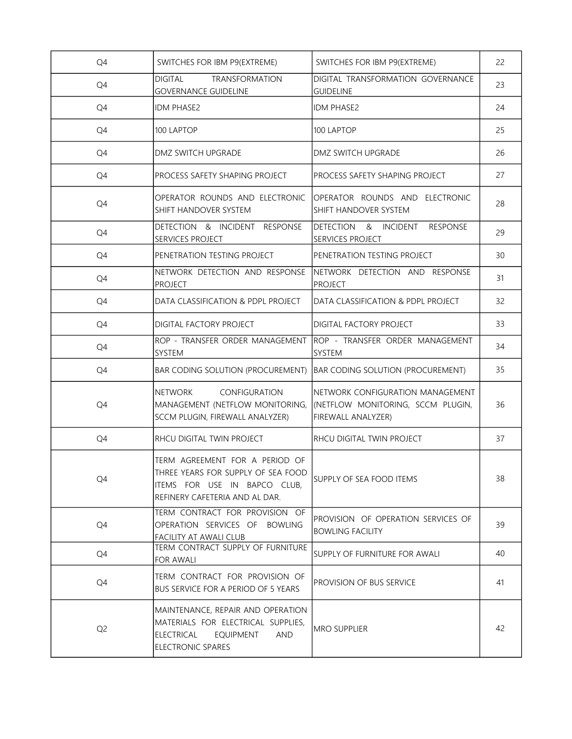| Q4             | SWITCHES FOR IBM P9(EXTREME)                                                                                                                        | SWITCHES FOR IBM P9(EXTREME)                                                                       | 22 |
|----------------|-----------------------------------------------------------------------------------------------------------------------------------------------------|----------------------------------------------------------------------------------------------------|----|
| Q4             | <b>DIGITAL</b><br><b>TRANSFORMATION</b><br><b>GOVERNANCE GUIDELINE</b>                                                                              | DIGITAL TRANSFORMATION GOVERNANCE<br><b>GUIDELINE</b>                                              | 23 |
| Q4             | <b>IDM PHASE2</b>                                                                                                                                   | <b>IDM PHASE2</b>                                                                                  | 24 |
| Q4             | 100 LAPTOP                                                                                                                                          | 100 LAPTOP                                                                                         | 25 |
| Q4             | DMZ SWITCH UPGRADE                                                                                                                                  | DMZ SWITCH UPGRADE                                                                                 | 26 |
| Q4             | PROCESS SAFETY SHAPING PROJECT                                                                                                                      | PROCESS SAFETY SHAPING PROJECT                                                                     | 27 |
| Q4             | OPERATOR ROUNDS AND ELECTRONIC<br>SHIFT HANDOVER SYSTEM                                                                                             | OPERATOR ROUNDS AND ELECTRONIC<br>SHIFT HANDOVER SYSTEM                                            | 28 |
| Q4             | DETECTION & INCIDENT RESPONSE<br>SERVICES PROJECT                                                                                                   | DETECTION & INCIDENT<br><b>RESPONSE</b><br><b>SERVICES PROJECT</b>                                 | 29 |
| Q4             | PENETRATION TESTING PROJECT                                                                                                                         | PENETRATION TESTING PROJECT                                                                        | 30 |
| Q4             | NETWORK DETECTION AND RESPONSE<br><b>PROJECT</b>                                                                                                    | NETWORK DETECTION AND RESPONSE<br><b>PROJECT</b>                                                   | 31 |
| Q4             | DATA CLASSIFICATION & PDPL PROJECT                                                                                                                  | DATA CLASSIFICATION & PDPL PROJECT                                                                 | 32 |
| Q4             | DIGITAL FACTORY PROJECT                                                                                                                             | DIGITAL FACTORY PROJECT                                                                            | 33 |
| Q4             | ROP - TRANSFER ORDER MANAGEMENT<br>SYSTEM                                                                                                           | Irop - transfer order management<br><b>SYSTEM</b>                                                  | 34 |
| Q4             | <b>BAR CODING SOLUTION (PROCUREMENT)</b>                                                                                                            | <b>BAR CODING SOLUTION (PROCUREMENT)</b>                                                           | 35 |
| Q4             | CONFIGURATION<br><b>NETWORK</b><br>MANAGEMENT (NETFLOW MONITORING,<br>SCCM PLUGIN, FIREWALL ANALYZER)                                               | NETWORK CONFIGURATION MANAGEMENT<br>(NETFLOW MONITORING, SCCM PLUGIN,<br><b>FIREWALL ANALYZER)</b> | 36 |
| Q4             | RHCU DIGITAL TWIN PROJECT                                                                                                                           | <b>RHCU DIGITAL TWIN PROJECT</b>                                                                   | 37 |
| Q4             | TERM AGREEMENT FOR A PERIOD OF<br>THREE YEARS FOR SUPPLY OF SEA FOOD<br>ITEMS FOR USE IN BAPCO CLUB,<br>REFINERY CAFETERIA AND AL DAR.              | SUPPLY OF SEA FOOD ITEMS                                                                           | 38 |
| Q4             | TERM CONTRACT FOR PROVISION OF<br>OPERATION SERVICES OF BOWLING<br>FACILITY AT AWALI CLUB                                                           | PROVISION OF OPERATION SERVICES OF<br><b>BOWLING FACILITY</b>                                      | 39 |
| Q4             | TERM CONTRACT SUPPLY OF FURNITURE<br><b>FOR AWALI</b>                                                                                               | SUPPLY OF FURNITURE FOR AWALI                                                                      | 40 |
| Q4             | TERM CONTRACT FOR PROVISION OF<br>BUS SERVICE FOR A PERIOD OF 5 YEARS                                                                               | <b>PROVISION OF BUS SERVICE</b>                                                                    | 41 |
| Q <sub>2</sub> | MAINTENANCE, REPAIR AND OPERATION<br>MATERIALS FOR ELECTRICAL SUPPLIES,<br><b>ELECTRICAL</b><br><b>EQUIPMENT</b><br><b>AND</b><br>ELECTRONIC SPARES | <b>MRO SUPPLIER</b>                                                                                | 42 |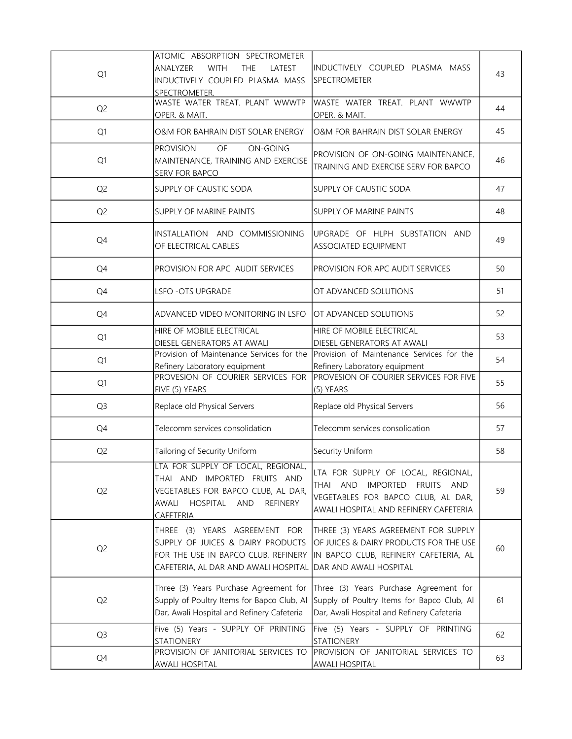| Q1             | ATOMIC ABSORPTION SPECTROMETER<br><b>ANALYZER</b><br><b>WITH</b><br>THE<br>LATEST<br>INDUCTIVELY COUPLED PLASMA MASS<br>SPECTROMETER.                                       | INDUCTIVELY COUPLED PLASMA MASS<br><b>SPECTROMETER</b>                                                                                               | 43 |
|----------------|-----------------------------------------------------------------------------------------------------------------------------------------------------------------------------|------------------------------------------------------------------------------------------------------------------------------------------------------|----|
| Q <sub>2</sub> | WASTE WATER TREAT. PLANT WWWTP<br>OPER. & MAIT.                                                                                                                             | WASTE WATER TREAT. PLANT WWWTP<br>OPER. & MAIT.                                                                                                      | 44 |
| Q1             | O&M FOR BAHRAIN DIST SOLAR ENERGY                                                                                                                                           | O&M FOR BAHRAIN DIST SOLAR ENERGY                                                                                                                    | 45 |
| Q1             | OF<br><b>PROVISION</b><br>ON-GOING<br>MAINTENANCE, TRAINING AND EXERCISE<br>SERV FOR BAPCO                                                                                  | PROVISION OF ON-GOING MAINTENANCE,<br>TRAINING AND EXERCISE SERV FOR BAPCO                                                                           | 46 |
| Q <sub>2</sub> | SUPPLY OF CAUSTIC SODA                                                                                                                                                      | SUPPLY OF CAUSTIC SODA                                                                                                                               | 47 |
| Q <sub>2</sub> | SUPPLY OF MARINE PAINTS                                                                                                                                                     | SUPPLY OF MARINE PAINTS                                                                                                                              | 48 |
| Q4             | INSTALLATION AND COMMISSIONING<br>OF ELECTRICAL CABLES                                                                                                                      | UPGRADE OF HLPH SUBSTATION AND<br>ASSOCIATED EQUIPMENT                                                                                               | 49 |
| Q4             | PROVISION FOR APC AUDIT SERVICES                                                                                                                                            | PROVISION FOR APC AUDIT SERVICES                                                                                                                     | 50 |
| Q4             | <b>LSFO-OTS UPGRADE</b>                                                                                                                                                     | OT ADVANCED SOLUTIONS                                                                                                                                | 51 |
| Q4             | ADVANCED VIDEO MONITORING IN LSFO                                                                                                                                           | OT ADVANCED SOLUTIONS                                                                                                                                | 52 |
| Q1             | HIRE OF MOBILE ELECTRICAL<br>DIESEL GENERATORS AT AWALI                                                                                                                     | HIRE OF MOBILE ELECTRICAL<br>DIESEL GENERATORS AT AWALI                                                                                              | 53 |
| Q1             | Provision of Maintenance Services for the<br>Refinery Laboratory equipment                                                                                                  | Provision of Maintenance Services for the<br>Refinery Laboratory equipment                                                                           | 54 |
| Q1             | PROVESION OF COURIER SERVICES FOR<br>FIVE (5) YEARS                                                                                                                         | PROVESION OF COURIER SERVICES FOR FIVE<br>(5) YEARS                                                                                                  | 55 |
| Q <sub>3</sub> | Replace old Physical Servers                                                                                                                                                | Replace old Physical Servers                                                                                                                         | 56 |
| Q4             | Telecomm services consolidation                                                                                                                                             | Telecomm services consolidation                                                                                                                      | 57 |
| Q <sub>2</sub> | Tailoring of Security Uniform                                                                                                                                               | Security Uniform                                                                                                                                     | 58 |
| Q <sub>2</sub> | LTA FOR SUPPLY OF LOCAL, REGIONAL,<br>THAI AND IMPORTED FRUITS AND<br>VEGETABLES FOR BAPCO CLUB, AL DAR,<br>HOSPITAL<br>AWALI<br><b>AND</b><br>REFINERY<br><u>CAFETERIA</u> | LTA FOR SUPPLY OF LOCAL, REGIONAL,<br>THAI AND<br>IMPORTED FRUITS AND<br>VEGETABLES FOR BAPCO CLUB, AL DAR,<br>AWALI HOSPITAL AND REFINERY CAFETERIA | 59 |
| Q <sub>2</sub> | THREE (3) YEARS AGREEMENT FOR<br>SUPPLY OF JUICES & DAIRY PRODUCTS<br>FOR THE USE IN BAPCO CLUB, REFINERY<br>CAFETERIA, AL DAR AND AWALI HOSPITAL                           | THREE (3) YEARS AGREEMENT FOR SUPPLY<br>OF JUICES & DAIRY PRODUCTS FOR THE USE<br>IN BAPCO CLUB, REFINERY CAFETERIA, AL<br>DAR AND AWALI HOSPITAL    | 60 |
| Q <sub>2</sub> | Three (3) Years Purchase Agreement for<br>Supply of Poultry Items for Bapco Club, Al<br>Dar, Awali Hospital and Refinery Cafeteria                                          | Three (3) Years Purchase Agreement for<br>Supply of Poultry Items for Bapco Club, Al<br>Dar, Awali Hospital and Refinery Cafeteria                   | 61 |
| Q <sub>3</sub> | Five (5) Years - SUPPLY OF PRINTING<br>STATIONERY                                                                                                                           | Five (5) Years - SUPPLY OF PRINTING<br><b>STATIONERY</b>                                                                                             | 62 |
| Q4             | PROVISION OF JANITORIAL SERVICES TO<br><b>AWALI HOSPITAL</b>                                                                                                                | PROVISION OF JANITORIAL SERVICES TO<br><b>AWALI HOSPITAL</b>                                                                                         | 63 |